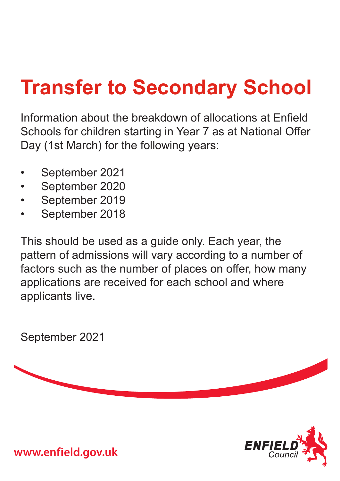# **Transfer to Secondary School**

Information about the breakdown of allocations at Enfield Schools for children starting in Year 7 as at National Offer Day (1st March) for the following years:

- September 2021
- September 2020
- September 2019
- September 2018

This should be used as a guide only. Each year, the pattern of admissions will vary according to a number of factors such as the number of places on offer, how many applications are received for each school and where applicants live.

September 2021

 $ENFIE$ 

**www.enfield.gov.uk**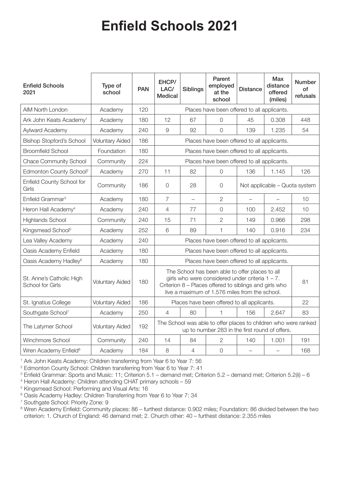| <b>Enfield Schools</b><br>2021               | Type of<br>school      | <b>PAN</b> | EHCP/<br>LAC/<br><b>Medical</b>                                                                                                                                                                                         | <b>Siblings</b>          | Parent<br>employed<br>at the<br>school | <b>Distance</b>               | Max<br>distance<br>offered<br>(miles) | <b>Number</b><br>of<br>refusals |
|----------------------------------------------|------------------------|------------|-------------------------------------------------------------------------------------------------------------------------------------------------------------------------------------------------------------------------|--------------------------|----------------------------------------|-------------------------------|---------------------------------------|---------------------------------|
| AIM North London                             | Academy                | 120        | Places have been offered to all applicants.                                                                                                                                                                             |                          |                                        |                               |                                       |                                 |
| Ark John Keats Academy <sup>1</sup>          | Academy                | 180        | 12                                                                                                                                                                                                                      | 67                       | $\overline{0}$                         | 45                            | 0.308                                 | 448                             |
| Aylward Academy                              | Academy                | 240        | 9                                                                                                                                                                                                                       | 92                       | $\Omega$                               | 139                           | 1.235                                 | 54                              |
| <b>Bishop Stopford's School</b>              | <b>Voluntary Aided</b> | 186        | Places have been offered to all applicants.                                                                                                                                                                             |                          |                                        |                               |                                       |                                 |
| <b>Broomfield School</b>                     | Foundation             | 180        | Places have been offered to all applicants.                                                                                                                                                                             |                          |                                        |                               |                                       |                                 |
| <b>Chace Community School</b>                | Community              | 224        | Places have been offered to all applicants.                                                                                                                                                                             |                          |                                        |                               |                                       |                                 |
| Edmonton County School <sup>2</sup>          | Academy                | 270        | 11                                                                                                                                                                                                                      | 82                       | $\overline{O}$                         | 136                           | 1.145                                 | 126                             |
| Enfield County School for<br>Girls           | Community              | 186        | $\mathcal{O}$                                                                                                                                                                                                           | 28                       | 0                                      | Not applicable - Quota system |                                       |                                 |
| Enfield Grammar <sup>3</sup>                 | Academy                | 180        | 7                                                                                                                                                                                                                       | $\overline{\phantom{0}}$ | $\overline{2}$                         | $\overline{\phantom{0}}$      | $\overline{\phantom{0}}$              | 10                              |
| Heron Hall Academy <sup>4</sup>              | Academy                | 240        | 4                                                                                                                                                                                                                       | 77                       | 0                                      | 100                           | 2.452                                 | 10                              |
| <b>Highlands School</b>                      | Community              | 240        | 15                                                                                                                                                                                                                      | 71                       | 2                                      | 149                           | 0.966                                 | 298                             |
| Kingsmead School <sup>5</sup>                | Academy                | 252        | 6                                                                                                                                                                                                                       | 89                       | 1                                      | 140                           | 0.916                                 | 234                             |
| Lea Valley Academy                           | Academy                | 240        | Places have been offered to all applicants.                                                                                                                                                                             |                          |                                        |                               |                                       |                                 |
| Oasis Academy Enfield                        | Academy                | 180        | Places have been offered to all applicants.                                                                                                                                                                             |                          |                                        |                               |                                       |                                 |
| Oasis Academy Hadley <sup>6</sup>            | Academy                | 180        | Places have been offered to all applicants.                                                                                                                                                                             |                          |                                        |                               |                                       |                                 |
| St. Anne's Catholic High<br>School for Girls | <b>Voluntary Aided</b> | 180        | The School has been able to offer places to all<br>girls who were considered under criteria $1 - 7$ .<br>81<br>Criterion 8 - Places offered to siblings and girls who<br>live a maximum of 1.576 miles from the school. |                          |                                        |                               |                                       |                                 |
| St. Ignatius College                         | <b>Voluntary Aided</b> | 186        | 22<br>Places have been offered to all applicants.                                                                                                                                                                       |                          |                                        |                               |                                       |                                 |
| Southgate School7                            | Academy                | 250        | $\overline{4}$                                                                                                                                                                                                          | 80                       | 1                                      | 156                           | 2.647                                 | 83                              |
| The Latymer School                           | <b>Voluntary Aided</b> | 192        | The School was able to offer places to children who were ranked<br>up to number 283 in the first round of offers.                                                                                                       |                          |                                        |                               |                                       |                                 |
| Winchmore School                             | Community              | 240        | 14                                                                                                                                                                                                                      | 84                       | 2                                      | 140                           | 1.001                                 | 191                             |
| Wren Academy Enfield <sup>8</sup>            | Academy                | 184        | 8                                                                                                                                                                                                                       | $\overline{4}$           | $\overline{O}$                         |                               |                                       | 168                             |

<sup>1</sup> Ark John Keats Academy: Children transferring from Year 6 to Year 7: 56

<sup>2</sup> Edmonton County School: Children transferring from Year 6 to Year 7: 41

<sup>3</sup> Enfield Grammar: Sports and Music: 11; Criterion 5.1 – demand met; Criterion 5.2 – demand met; Criterion 5.2(ii) – 6

<sup>4</sup> Heron Hall Academy: Children attending CHAT primary schools – 59

<sup>5</sup> Kingsmead School: Performing and Visual Arts: 16

<sup>6</sup> Oasis Academy Hadley: Children Transferring from Year 6 to Year 7: 34

<sup>7</sup> Southgate School: Priority Zone: 9

8 Wren Academy Enfield: Community places: 86 – furthest distance: 0.902 miles; Foundation: 86 divided between the two criterion: 1. Church of England: 46 demand met; 2. Church other: 40 – furthest distance: 2.355 miles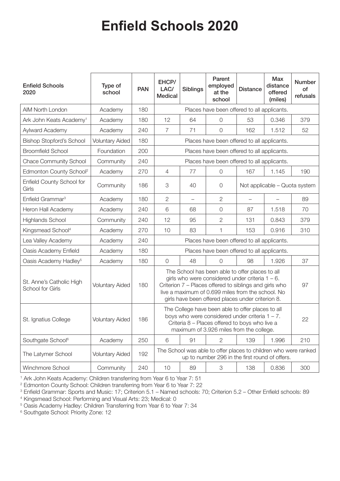| <b>Enfield Schools</b><br>2020                      | Type of<br>school      | <b>PAN</b> | EHCP/<br>LAC/<br><b>Medical</b>                                                                                                                                                                                                                                           | <b>Siblings</b>   | Parent<br>employed<br>at the<br>school | <b>Distance</b>               | <b>Max</b><br>distance<br>offered<br>(miles) | <b>Number</b><br>of<br>refusals |
|-----------------------------------------------------|------------------------|------------|---------------------------------------------------------------------------------------------------------------------------------------------------------------------------------------------------------------------------------------------------------------------------|-------------------|----------------------------------------|-------------------------------|----------------------------------------------|---------------------------------|
| AIM North London                                    | Academy                | 180        | Places have been offered to all applicants.                                                                                                                                                                                                                               |                   |                                        |                               |                                              |                                 |
| Ark John Keats Academy <sup>1</sup>                 | Academy                | 180        | 12                                                                                                                                                                                                                                                                        | 64                | $\overline{0}$                         | 53                            | 0.346                                        | 379                             |
| Aylward Academy                                     | Academy                | 240        | $\overline{7}$                                                                                                                                                                                                                                                            | 71                | $\overline{0}$                         | 162                           | 1.512                                        | 52                              |
| <b>Bishop Stopford's School</b>                     | <b>Voluntary Aided</b> | 180        | Places have been offered to all applicants.                                                                                                                                                                                                                               |                   |                                        |                               |                                              |                                 |
| <b>Broomfield School</b>                            | Foundation             | 200        | Places have been offered to all applicants.                                                                                                                                                                                                                               |                   |                                        |                               |                                              |                                 |
| <b>Chace Community School</b>                       | Community              | 240        | Places have been offered to all applicants.                                                                                                                                                                                                                               |                   |                                        |                               |                                              |                                 |
| Edmonton County School <sup>2</sup>                 | Academy                | 270        | $\overline{4}$                                                                                                                                                                                                                                                            | 77                | $\overline{0}$                         | 167                           | 1.145                                        | 190                             |
| Enfield County School for<br>Girls                  | Community              | 186        | 3                                                                                                                                                                                                                                                                         | 40                | $\overline{0}$                         | Not applicable - Quota system |                                              |                                 |
| Enfield Grammar <sup>3</sup>                        | Academy                | 180        | $\overline{2}$                                                                                                                                                                                                                                                            | $\qquad \qquad -$ | 2                                      | $\overline{\phantom{0}}$      |                                              | 89                              |
| Heron Hall Academy                                  | Academy                | 240        | 6                                                                                                                                                                                                                                                                         | 68                | $\bigcirc$                             | 87                            | 1.518                                        | 70                              |
| <b>Highlands School</b>                             | Community              | 240        | 12                                                                                                                                                                                                                                                                        | 95                | $\overline{2}$                         | 131                           | 0.843                                        | 379                             |
| Kingsmead School <sup>4</sup>                       | Academy                | 270        | 10                                                                                                                                                                                                                                                                        | 83                | 1                                      | 153                           | 0.916                                        | 310                             |
| Lea Valley Academy                                  | Academy                | 240        | Places have been offered to all applicants.                                                                                                                                                                                                                               |                   |                                        |                               |                                              |                                 |
| Oasis Academy Enfield                               | Academy                | 180        | Places have been offered to all applicants.                                                                                                                                                                                                                               |                   |                                        |                               |                                              |                                 |
| Oasis Academy Hadley <sup>5</sup>                   | Academy                | 180        | $\overline{O}$                                                                                                                                                                                                                                                            | 48                | $\overline{0}$                         | 98                            | 1.926                                        | 37                              |
| St. Anne's Catholic High<br><b>School for Girls</b> | <b>Voluntary Aided</b> | 180        | The School has been able to offer places to all<br>girls who were considered under criteria $1 - 6$ .<br>Criterion 7 – Places offered to siblings and girls who<br>live a maximum of 0.699 miles from the school. No<br>girls have been offered places under criterion 8. |                   |                                        |                               |                                              | 97                              |
| St. Ignatius College                                | <b>Voluntary Aided</b> | 186        | The College have been able to offer places to all<br>boys who were considered under criteria $1 - 7$ .<br>Criteria 8 - Places offered to boys who live a<br>maximum of 3.926 miles from the college.                                                                      |                   |                                        |                               |                                              | 22                              |
| Southgate School <sup>6</sup>                       | Academy                | 250        | $6\,$                                                                                                                                                                                                                                                                     | 91                | 2                                      | 139                           | 1.996                                        | 210                             |
| The Latymer School                                  | <b>Voluntary Aided</b> | 192        | The School was able to offer places to children who were ranked<br>up to number 296 in the first round of offers.                                                                                                                                                         |                   |                                        |                               |                                              |                                 |
| Winchmore School                                    | Community              | 240        | 10                                                                                                                                                                                                                                                                        | 89                | $\mbox{3}$                             | 138                           | 0.836                                        | 300                             |

<sup>1</sup> Ark John Keats Academy: Children transferring from Year 6 to Year 7: 51

<sup>2</sup> Edmonton County School: Children transferring from Year 6 to Year 7: 22

<sup>3</sup> Enfield Grammar: Sports and Music: 17; Criterion 5.1 – Named schools: 70; Criterion 5.2 – Other Enfield schools: 89

<sup>4</sup> Kingsmead School: Performing and Visual Arts: 23; Medical: 0

<sup>5</sup> Oasis Academy Hadley: Children Transferring from Year 6 to Year 7: 34

<sup>6</sup> Southgate School: Priority Zone: 12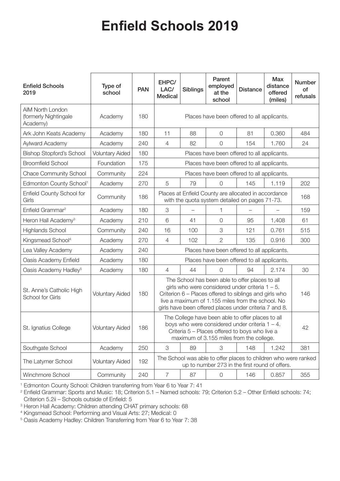| <b>Enfield Schools</b><br>2019                        | Type of<br>school      | <b>PAN</b> | EHPC/<br>LAC/<br><b>Medical</b>                                                                                                                                                                                                                                                | <b>Siblings</b> | Parent<br>employed<br>at the<br>school      | <b>Distance</b> | <b>Max</b><br>distance<br>offered<br>(miles) | <b>Number</b><br>of<br>refusals |
|-------------------------------------------------------|------------------------|------------|--------------------------------------------------------------------------------------------------------------------------------------------------------------------------------------------------------------------------------------------------------------------------------|-----------------|---------------------------------------------|-----------------|----------------------------------------------|---------------------------------|
| AIM North London<br>(formerly Nightingale<br>Academy) | Academy                | 180        | Places have been offered to all applicants.                                                                                                                                                                                                                                    |                 |                                             |                 |                                              |                                 |
| Ark John Keats Academy                                | Academy                | 180        | 11                                                                                                                                                                                                                                                                             | 88              | $\overline{O}$                              | 81              | 0.360                                        | 484                             |
| Aylward Academy                                       | Academy                | 240        | $\overline{4}$                                                                                                                                                                                                                                                                 | 82              | $\overline{O}$                              | 154             | 1.760                                        | 24                              |
| <b>Bishop Stopford's School</b>                       | <b>Voluntary Aided</b> | 180        | Places have been offered to all applicants.                                                                                                                                                                                                                                    |                 |                                             |                 |                                              |                                 |
| <b>Broomfield School</b>                              | Foundation             | 175        | Places have been offered to all applicants.                                                                                                                                                                                                                                    |                 |                                             |                 |                                              |                                 |
| <b>Chace Community School</b>                         | Community              | 224        |                                                                                                                                                                                                                                                                                |                 | Places have been offered to all applicants. |                 |                                              |                                 |
| Edmonton County School <sup>1</sup>                   | Academy                | 270        | 5                                                                                                                                                                                                                                                                              | 79              | $\overline{0}$                              | 145             | 1.119                                        | 202                             |
| Enfield County School for<br>Girls                    | Community              | 186        | Places at Enfield County are allocated in accordance<br>with the quota system detailed on pages 71-73.                                                                                                                                                                         |                 |                                             |                 |                                              | 168                             |
| Enfield Grammar <sup>2</sup>                          | Academy                | 180        | 3                                                                                                                                                                                                                                                                              |                 | 1                                           |                 |                                              | 159                             |
| Heron Hall Academy <sup>3</sup>                       | Academy                | 210        | 6                                                                                                                                                                                                                                                                              | 41              | $\overline{O}$                              | 95              | 1,408                                        | 61                              |
| Highlands School                                      | Community              | 240        | 16                                                                                                                                                                                                                                                                             | 100             | 3                                           | 121             | 0.761                                        | 515                             |
| Kingsmead School <sup>4</sup>                         | Academy                | 270        | $\overline{4}$                                                                                                                                                                                                                                                                 | 102             | $\overline{2}$                              | 135             | 0.916                                        | 300                             |
| Lea Valley Academy                                    | Academy                | 240        | Places have been offered to all applicants.                                                                                                                                                                                                                                    |                 |                                             |                 |                                              |                                 |
| Oasis Academy Enfield                                 | Academy                | 180        | Places have been offered to all applicants.                                                                                                                                                                                                                                    |                 |                                             |                 |                                              |                                 |
| Oasis Academy Hadley <sup>5</sup>                     | Academy                | 180        | 4                                                                                                                                                                                                                                                                              | 44              | $\Omega$                                    | 94              | 2.174                                        | 30                              |
| St. Anne's Catholic High<br>School for Girls          | <b>Voluntary Aided</b> | 180        | The School has been able to offer places to all<br>girls who were considered under criteria $1 - 5$ .<br>Criterion 6 - Places offered to siblings and girls who<br>live a maximum of 1.155 miles from the school. No<br>girls have been offered places under criteria 7 and 8. |                 |                                             |                 |                                              | 146                             |
| St. Ignatius College                                  | <b>Voluntary Aided</b> | 186        | The College have been able to offer places to all<br>boys who were considered under criteria $1 - 4$ .<br>Criteria 5 – Places offered to boys who live a<br>maximum of 3.155 miles from the college.                                                                           |                 |                                             |                 |                                              | 42                              |
| Southgate School                                      | Academy                | 250        | 3                                                                                                                                                                                                                                                                              | 89              | 3                                           | 148             | 1.242                                        | 381                             |
| The Latymer School                                    | <b>Voluntary Aided</b> | 192        | The School was able to offer places to children who were ranked<br>up to number 273 in the first round of offers.                                                                                                                                                              |                 |                                             |                 |                                              |                                 |
| Winchmore School                                      | Community              | 240        | $\overline{7}$                                                                                                                                                                                                                                                                 | 87              | $\mathsf{O}$                                | 146             | 0.857                                        | 355                             |

<sup>1</sup> Edmonton County School: Children transferring from Year 6 to Year 7: 41

<sup>2</sup> Enfield Grammar: Sports and Music: 18; Criterion 5.1 – Named schools: 79; Criterion 5.2 – Other Enfield schools: 74; Criterion 5.2ii – Schools outside of Enfield: 5

<sup>3</sup> Heron Hall Academy: Children attending CHAT primary schools: 68

<sup>4</sup> Kingsmead School: Performing and Visual Arts: 27; Medical: 0

<sup>5</sup> Oasis Academy Hadley: Children Transferring from Year 6 to Year 7: 38